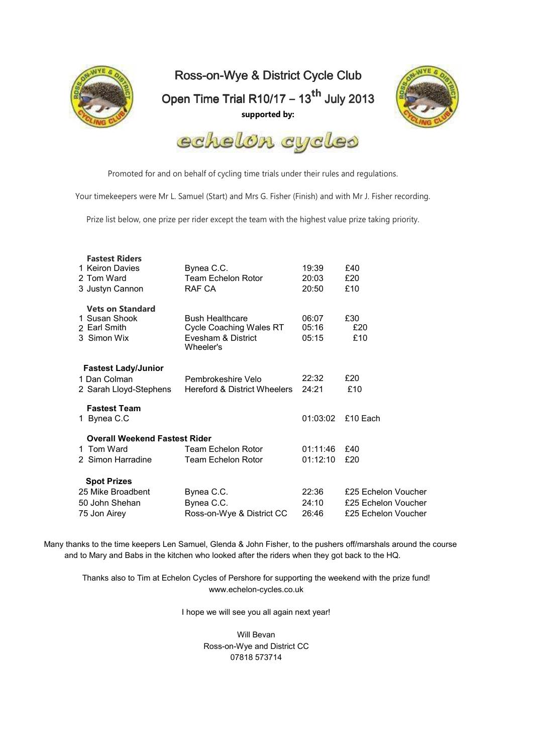

Ross-on-Wye & District Cycle Club Open Time Trial R10/17 – 13<sup>th</sup> July 2013 **supported by:** 





Promoted for and on behalf of cycling time trials under their rules and regulations.

Your timekeepers were Mr L. Samuel (Start) and Mrs G. Fisher (Finish) and with Mr J. Fisher recording.

Prize list below, one prize per rider except the team with the highest value prize taking priority.

| <b>Fastest Riders</b><br>1 Keiron Davies<br>2 Tom Ward                  | Bynea C.C.<br><b>Team Echelon Rotor</b><br>RAF CA                                           | 19:39<br>20:03<br>20:50 | £40<br>£20<br>£10   |
|-------------------------------------------------------------------------|---------------------------------------------------------------------------------------------|-------------------------|---------------------|
| 3 Justyn Cannon                                                         |                                                                                             |                         |                     |
| <b>Vets on Standard</b><br>1 Susan Shook<br>2 Earl Smith<br>3 Simon Wix | <b>Bush Healthcare</b><br><b>Cycle Coaching Wales RT</b><br>Evesham & District<br>Wheeler's | 06:07<br>05:16<br>05:15 | £30<br>£20<br>£10   |
| <b>Fastest Lady/Junior</b><br>1 Dan Colman<br>2 Sarah Lloyd-Stephens    | Pembrokeshire Velo<br>Hereford & District Wheelers                                          | 22:32<br>24:21          | £20<br>£10          |
| <b>Fastest Team</b><br>1 Bynea C.C                                      |                                                                                             | 01:03:02                | £10 Each            |
| <b>Overall Weekend Fastest Rider</b>                                    |                                                                                             |                         |                     |
| 1 Tom Ward                                                              | Team Echelon Rotor                                                                          | 01:11:46                | £40                 |
| 2 Simon Harradine                                                       | Team Echelon Rotor                                                                          | 01:12:10                | £20                 |
| <b>Spot Prizes</b>                                                      |                                                                                             |                         |                     |
| 25 Mike Broadbent                                                       | Bynea C.C.                                                                                  | 22:36                   | £25 Echelon Voucher |
| 50 John Shehan                                                          | Bynea C.C.                                                                                  | 24:10                   | £25 Echelon Voucher |
| 75 Jon Airey                                                            | Ross-on-Wye & District CC                                                                   | 26:46                   | £25 Echelon Voucher |

Many thanks to the time keepers Len Samuel, Glenda & John Fisher, to the pushers off/marshals around the course and to Mary and Babs in the kitchen who looked after the riders when they got back to the HQ.

Thanks also to Tim at Echelon Cycles of Pershore for supporting the weekend with the prize fund! www.echelon-cycles.co.uk

I hope we will see you all again next year!

Will Bevan Ross-on-Wye and District CC 07818 573714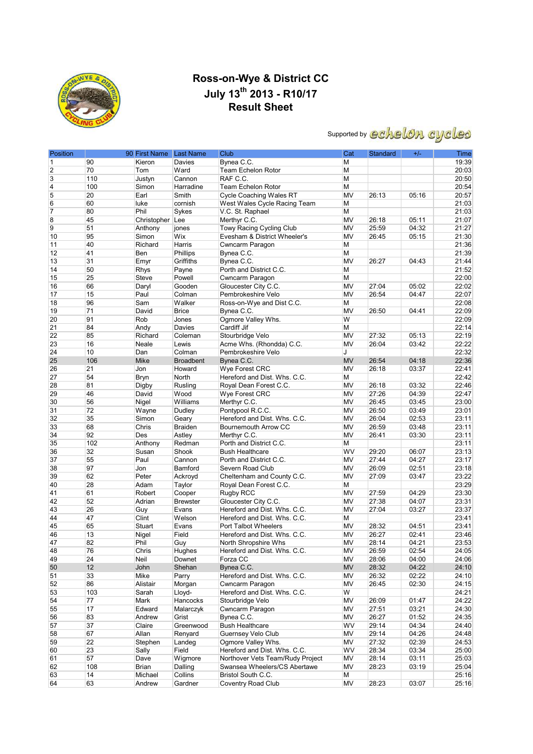

### **Ross-on-Wye & District CC July 13th 2013 - R10/17 Result Sheet**

# Supported by echelon cycles

| Position       |     | 90 First Name Last Name |                  | Club                             | Cat       | Standard | $+/-$ | Time  |
|----------------|-----|-------------------------|------------------|----------------------------------|-----------|----------|-------|-------|
| 1              | 90  | Kieron                  | Davies           | Bynea C.C.                       | M         |          |       | 19:39 |
| $\overline{2}$ | 70  | Tom                     | Ward             | <b>Team Echelon Rotor</b>        | M         |          |       | 20:03 |
| 3              | 110 | Justyn                  | Cannon           | RAF C.C.                         | M         |          |       | 20:50 |
| $\overline{4}$ | 100 | Simon                   | Harradine        | Team Echelon Rotor               | M         |          |       | 20:54 |
| 5              | 20  | Earl                    | Smith            | <b>Cycle Coaching Wales RT</b>   | MV        | 26:13    | 05:16 | 20:57 |
| 6              | 60  | luke                    | cornish          | West Wales Cycle Racing Team     | M         |          |       | 21:03 |
| 7              | 80  | Phil                    | Sykes            | V.C. St. Raphael                 | M         |          |       | 21:03 |
| 8              | 45  | Christopher Lee         |                  | Merthyr C.C.                     | MV        | 26:18    | 05:11 | 21:07 |
| 9              | 51  | Anthony                 | jones            | Towy Racing Cycling Club         | MV        | 25:59    | 04:32 | 21:27 |
| 10             | 95  | Simon                   | Wix              | Evesham & District Wheeler's     | MV        | 26:45    | 05:15 | 21:30 |
| 11             | 40  | Richard                 | Harris           | Cwncarm Paragon                  | M         |          |       | 21:36 |
| 12             | 41  | Ben                     | Phillips         | Bynea C.C.                       | М         |          |       | 21:39 |
| 13             | 31  | Emyr                    | Griffiths        | Bynea C.C.                       | MV        | 26:27    | 04:43 | 21:44 |
| 14             | 50  | <b>Rhys</b>             | Payne            | Porth and District C.C.          | M         |          |       | 21:52 |
| 15             | 25  | Steve                   | Powell           | Cwncarm Paragon                  | M         |          |       | 22:00 |
|                | 66  |                         |                  |                                  |           | 27:04    | 05:02 |       |
| 16             |     | Daryl                   | Gooden           | Gloucester City C.C.             | MV        |          |       | 22:02 |
| 17             | 15  | Paul                    | Colman           | Pembrokeshire Velo               | <b>MV</b> | 26:54    | 04:47 | 22:07 |
| 18             | 96  | Sam                     | Walker           | Ross-on-Wye and Dist C.C.        | M         |          |       | 22:08 |
| 19             | 71  | David                   | <b>Brice</b>     | Bynea C.C.                       | MV        | 26:50    | 04:41 | 22:09 |
| 20             | 91  | Rob                     | Jones            | Ogmore Valley Whs.               | W         |          |       | 22:09 |
| 21             | 84  | Andy                    | Davies           | Cardiff Jif                      | M         |          |       | 22:14 |
| 22             | 85  | Richard                 | Coleman          | Stourbridge Velo                 | MV        | 27:32    | 05:13 | 22:19 |
| 23             | 16  | Neale                   | Lewis            | Acme Whs. (Rhondda) C.C.         | <b>MV</b> | 26:04    | 03:42 | 22:22 |
| 24             | 10  | Dan                     | Colman           | Pembrokeshire Velo               | J         |          |       | 22:32 |
| 25             | 106 | Mike                    | <b>Broadbent</b> | Bynea C.C.                       | <b>MV</b> | 26:54    | 04:18 | 22:36 |
| 26             | 21  | Jon                     | Howard           | Wye Forest CRC                   | MV        | 26:18    | 03:37 | 22:41 |
| 27             | 54  | <b>Bryn</b>             | North            | Hereford and Dist. Whs. C.C.     | М         |          |       | 22:42 |
| 28             | 81  | Digby                   | Rusling          | Royal Dean Forest C.C.           | MV        | 26:18    | 03:32 | 22:46 |
| 29             | 46  | David                   | Wood             | Wye Forest CRC                   | MV        | 27:26    | 04:39 | 22:47 |
| 30             | 56  | Nigel                   | Williams         | Merthyr C.C.                     | MV        | 26:45    | 03:45 | 23:00 |
| 31             | 72  | Wayne                   | Dudley           | Pontypool R.C.C.                 | MV        | 26:50    | 03:49 | 23:01 |
| 32             | 35  | Simon                   | Geary            | Hereford and Dist. Whs. C.C.     | MV        | 26:04    | 02:53 | 23:11 |
| 33             | 68  | Chris                   | <b>Braiden</b>   | Bournemouth Arrow CC             | MV        | 26:59    | 03:48 | 23:11 |
| 34             | 92  | Des                     | Astley           | Merthyr C.C.                     | MV        | 26:41    | 03:30 | 23:11 |
| 35             | 102 | Anthony                 | Redman           | Porth and District C.C.          | М         |          |       | 23:11 |
| 36             | 32  | Susan                   | Shook            | <b>Bush Healthcare</b>           | <b>WV</b> | 29:20    | 06:07 | 23:13 |
| 37             | 55  | Paul                    | Cannon           | Porth and District C.C.          | MV        | 27:44    | 04:27 | 23:17 |
| 38             | 97  | Jon                     | Bamford          | Severn Road Club                 | MV        | 26:09    | 02:51 | 23:18 |
| 39             | 62  | Peter                   | Ackroyd          | Cheltenham and County C.C.       | MV        | 27:09    | 03:47 | 23:22 |
| 40             | 28  | Adam                    | Taylor           | Royal Dean Forest C.C.           | М         |          |       | 23:29 |
| 41             | 61  | Robert                  | Cooper           | Rugby RCC                        | MV        | 27:59    | 04:29 | 23:30 |
| 42             | 52  | Adrian                  | <b>Brewster</b>  | Gloucester City C.C.             | MV        | 27:38    | 04:07 | 23:31 |
| 43             | 26  | Guy                     | Evans            | Hereford and Dist. Whs. C.C.     | MV        | 27:04    | 03:27 | 23:37 |
| 44             | 47  | Clint                   | Welson           | Hereford and Dist. Whs. C.C.     | М         |          |       | 23:41 |
| 45             | 65  | Stuart                  | Evans            | Port Talbot Wheelers             | MV        | 28:32    | 04:51 | 23:41 |
| 46             | 13  | Nigel                   | Field            | Hereford and Dist. Whs. C.C.     | MV        | 26:27    | 02:41 | 23:46 |
| 47             | 82  | Phil                    | Guy              | North Shropshire Whs             | MV        | 28:14    | 04:21 | 23:53 |
| 48             | 76  | Chris                   | Hughes           | Hereford and Dist. Whs. C.C.     | MV        | 26:59    | 02:54 | 24:05 |
| 49             | 24  | Neil                    | Downet           | Forza CC                         | MV        | 28:06    | 04:00 | 24:06 |
| 50             | 12  | John                    | Shehan           | Bynea C.C.                       | <b>MV</b> | 28:32    | 04:22 | 24:10 |
| 51             | 33  | Mike                    | Parry            | Hereford and Dist. Whs. C.C.     | MV        | 26:32    | 02:22 | 24:10 |
| 52             | 86  | Alistair                | Morgan           | Cwncarm Paragon                  | <b>MV</b> | 26:45    | 02:30 | 24:15 |
| 53             | 103 | Sarah                   | Lloyd-           | Hereford and Dist. Whs. C.C.     | W         |          |       | 24:21 |
| 54             | 77  | Mark                    | Hancocks         | Stourbridge Velo                 | <b>MV</b> | 26:09    | 01:47 | 24:22 |
| 55             | 17  | Edward                  | Malarczyk        | Cwncarm Paragon                  | <b>MV</b> | 27:51    | 03:21 | 24:30 |
| 56             | 83  | Andrew                  | Grist            | Bynea C.C.                       | MV        | 26:27    | 01:52 | 24:35 |
| 57             | 37  | Claire                  | Greenwood        | <b>Bush Healthcare</b>           | WV        | 29:14    | 04:34 | 24:40 |
| 58             | 67  | Allan                   | Renyard          | Guernsey Velo Club               | MV        | 29:14    | 04:26 | 24:48 |
| 59             | 22  | Stephen                 | Landeg           | Ogmore Valley Whs.               | <b>MV</b> | 27:32    | 02:39 | 24:53 |
| 60             | 23  | Sally                   | Field            | Hereford and Dist. Whs. C.C.     | WV        | 28:34    | 03:34 | 25:00 |
| 61             | 57  | Dave                    | Wigmore          | Northover Vets Team/Rudy Project | MV        | 28:14    | 03:11 | 25:03 |
| 62             | 108 | Brian                   | Dalling          | Swansea Wheelers/CS Abertawe     | MV        | 28:23    | 03:19 | 25:04 |
| 63             | 14  | Michael                 | Collins          | Bristol South C.C.               | М         |          |       | 25:16 |
| 64             | 63  | Andrew                  | Gardner          | Coventry Road Club               | <b>MV</b> | 28:23    | 03:07 | 25:16 |
|                |     |                         |                  |                                  |           |          |       |       |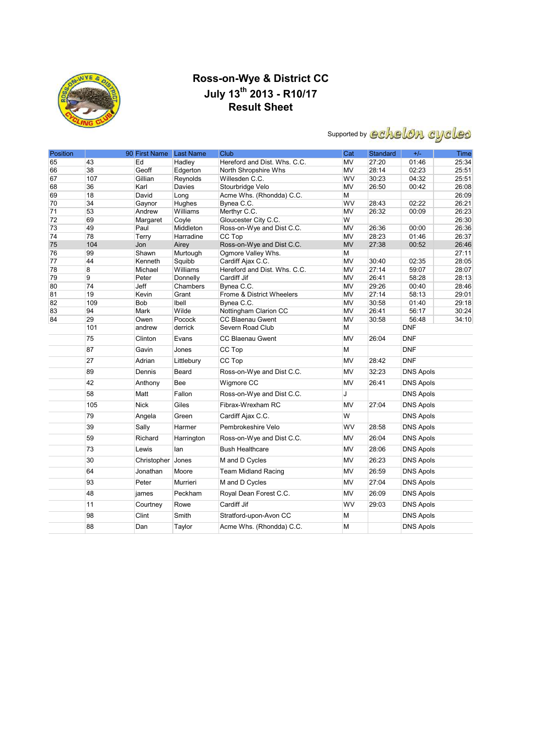

### **Ross-on-Wye & District CC July 13th 2013 - R10/17 Result Sheet**

# Supported by echelon cycles

| Position |          | 90 First Name Last Name |            | <b>Club</b>                  | Cat       | Standard       | $+/-$            | <b>Time</b> |
|----------|----------|-------------------------|------------|------------------------------|-----------|----------------|------------------|-------------|
| 65       | 43       | Ed                      | Hadley     | Hereford and Dist. Whs. C.C. | <b>MV</b> | 27:20          | 01:46            | 25:34       |
| 66       | 38       | Geoff                   | Edgerton   | North Shropshire Whs         | MV        | 28:14          | 02:23            | 25:51       |
| 67       | 107      | Gillian                 | Reynolds   | Willesden C.C.               | WV        | 30:23          | 04:32            | 25:51       |
| 68       | 36       | Karl                    | Davies     | Stourbridge Velo             | MV        | 26:50          | 00:42            | 26:08       |
| 69       | 18       | David                   | Long       | Acme Whs. (Rhondda) C.C.     | М         |                |                  | 26:09       |
| 70       | 34       | Gaynor                  | Hughes     | Bynea C.C.                   | WV        | 28:43          | 02:22            | 26:21       |
| 71       | 53       | Andrew                  | Williams   | Merthyr C.C.                 | MV        | 26:32          | 00:09            | 26:23       |
| 72       | 69       | Margaret                | Coyle      | Gloucester City C.C.         | W         |                |                  | 26:30       |
| 73       | 49       | Paul                    | Middleton  | Ross-on-Wye and Dist C.C.    | MV        | 26:36          | 00:00            | 26:36       |
| 74       | 78       | Terry                   | Harradine  | CC Top                       | <b>MV</b> | 28:23          | 01:46            | 26:37       |
| 75       | 104      | Jon                     | Airey      | Ross-on-Wye and Dist C.C.    | <b>MV</b> | 27:38          | 00:52            | 26:46       |
| 76       | 99       | Shawn                   | Murtough   | Ogmore Valley Whs.           | М         |                |                  | 27:11       |
| 77<br>78 | 44       | Kenneth                 | Squibb     | Cardiff Ajax C.C.            | MV        | 30:40<br>27:14 | 02:35<br>59:07   | 28:05       |
|          | 8        | Michael                 | Williams   | Hereford and Dist. Whs. C.C. | MV        |                |                  | 28:07       |
| 79       | 9        | Peter                   | Donnelly   | Cardiff Jif                  | <b>MV</b> | 26:41          | 58:28            | 28:13       |
| 80       | 74<br>19 | Jeff                    | Chambers   | Bynea C.C.                   | MV        | 29:26<br>27:14 | 00:40            | 28:46       |
| 81       |          | Kevin                   | Grant      | Frome & District Wheelers    | <b>MV</b> |                | 58:13            | 29:01       |
| 82       | 109      | <b>Bob</b>              | Ibell      | Bynea C.C.                   | MV        | 30:58          | 01:40            | 29:18       |
| 83<br>84 | 94       | Mark                    | Wilde      | Nottingham Clarion CC        | MV        | 26:41          | 56:17            | 30:24       |
|          | 29       | Owen                    | Pocock     | CC Blaenau Gwent             | MV        | 30:58          | 56:48            | 34:10       |
|          | 101      | andrew                  | derrick    | Severn Road Club             | М         |                | <b>DNF</b>       |             |
|          | 75       | Clinton                 | Evans      | <b>CC Blaenau Gwent</b>      | MV        | 26:04          | <b>DNF</b>       |             |
|          | 87       | Gavin                   | Jones      | CC Top                       | М         |                | <b>DNF</b>       |             |
|          | 27       | Adrian                  | Littlebury | CC Top                       | <b>MV</b> | 28:42          | <b>DNF</b>       |             |
|          | 89       | Dennis                  | Beard      | Ross-on-Wye and Dist C.C.    | MV        | 32:23          | <b>DNS Apols</b> |             |
|          | 42       | Anthony                 | <b>Bee</b> | Wigmore CC                   | <b>MV</b> | 26:41          | <b>DNS Apols</b> |             |
|          | 58       | Matt                    | Fallon     | Ross-on-Wye and Dist C.C.    | J         |                | <b>DNS Apols</b> |             |
|          | 105      | <b>Nick</b>             | Giles      | Fibrax-Wrexham RC            | MV        | 27:04          | <b>DNS Apols</b> |             |
|          | 79       | Angela                  | Green      | Cardiff Ajax C.C.            | W         |                | <b>DNS Apols</b> |             |
|          | 39       | Sally                   | Harmer     | Pembrokeshire Velo           | WV        | 28:58          | <b>DNS Apols</b> |             |
|          | 59       | Richard                 | Harrington | Ross-on-Wye and Dist C.C.    | MV        | 26:04          | <b>DNS Apols</b> |             |
|          | 73       | Lewis                   | lan        | <b>Bush Healthcare</b>       | <b>MV</b> | 28:06          | <b>DNS Apols</b> |             |
|          | 30       | Christopher Jones       |            | M and D Cycles               | MV        | 26:23          | <b>DNS Apols</b> |             |
|          | 64       | Jonathan                | Moore      | <b>Team Midland Racing</b>   | <b>MV</b> | 26:59          | <b>DNS Apols</b> |             |
|          | 93       | Peter                   | Murrieri   | M and D Cycles               | MV        | 27:04          | <b>DNS Apols</b> |             |
|          | 48       | james                   | Peckham    | Royal Dean Forest C.C.       | <b>MV</b> | 26:09          | <b>DNS Apols</b> |             |
|          | 11       | Courtney                | Rowe       | Cardiff Jif                  | WV        | 29:03          | <b>DNS Apols</b> |             |
|          | 98       | Clint                   | Smith      | Stratford-upon-Avon CC       | M         |                | <b>DNS Apols</b> |             |
|          | 88       | Dan                     | Taylor     | Acme Whs. (Rhondda) C.C.     | M         |                | <b>DNS Apols</b> |             |